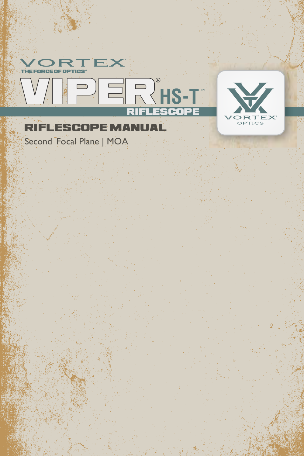

Second Focal Plane | MOA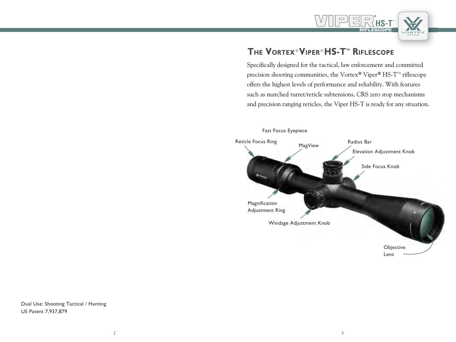

# **The Vortex®Viper®HS-Ttm Riflescope**

Specifically designed for the tactical, law enforcement and committed precision shooting communities, the Vortex® Viper® HS-T<sup>M</sup> riflescope offers the highest levels of performance and reliability. With features such as matched turret/reticle subtensions, CRS zero stop mechanisms and precision ranging reticles, the Viper HS-T is ready for any situation.



Dual Use: Shooting Tactical / Hunting US Patent 7,937,879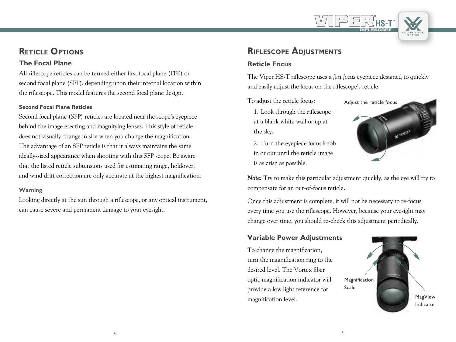# **Reticle Options**

#### **The Focal Plane**

All riflescope reticles can be termed either first focal plane (FFP) or second focal plane (SFP), depending upon their internal location within the riflescope. This model features the second focal plane design.

#### **Second Focal Plane Reticles**

Second focal plane (SFP) reticles are located near the scope's eyepiece behind the image erecting and magnifying lenses. This style of reticle does not visually change in size when you change the magnification. The advantage of an SFP reticle is that it always maintains the same ideally-sized appearance when shooting with this SFP scope. Be aware that the listed reticle subtensions used for estimating range, holdover, and wind drift correction are only accurate at the highest magnification.

#### **Warning**

Looking directly at the sun through a riflescope, or any optical instrument, can cause severe and permanent damage to your eyesight.

# **Riflescope Adjustments**

## **Reticle Focus**

The Viper HS-T riflescope uses a *fast focus* eyepiece designed to quickly and easily adjust the focus on the riflescope's reticle.

To adjust the reticle focus:

1. Look through the riflescope at a blank white wall or up at the sky.

2. Turn the eyepiece focus knob in or out until the reticle image is as crisp as possible.



**HS-T** RIFLESCOPE

*Note:* Try to make this particular adjustment quickly, as the eye will try to compensate for an out-of-focus reticle.

Once this adjustment is complete, it will not be necessary to re-focus every time you use the riflescope. However, because your eyesight may change over time, you should re-check this adjustment periodically.

#### **Variable Power Adjustments**

To change the magnification, turn the magnification ring to the desired level. The Vortex fiber optic magnification indicator will provide a low light reference for magnification level.

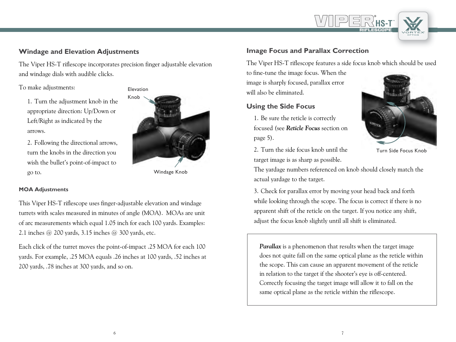## **Windage and Elevation Adjustments**

The Viper HS-T riflescope incorporates precision finger adjustable elevation and windage dials with audible clicks.

To make adjustments:

1. Turn the adjustment knob in the appropriate direction: Up/Down or Left/Right as indicated by the arrows.

2. Following the directional arrows, turn the knobs in the direction you wish the bullet's point-of-impact to go to.

# Elevation Knob

Windage Knob

#### **MOA Adjustments**

This Viper HS-T riflescope uses finger-adjustable elevation and windage turrets with scales measured in minutes of angle (MOA). MOAs are unit of arc measurements which equal 1.05 inch for each 100 yards. Examples: 2.1 inches @ 200 yards, 3.15 inches @ 300 yards, etc.

Each click of the turret moves the point-of-impact .25 MOA for each 100 yards. For example, .25 MOA equals .26 inches at 100 yards, .52 inches at 200 yards, .78 inches at 300 yards, and so on.

## **Image Focus and Parallax Correction**

The Viper HS-T riflescope features a side focus knob which should be used

to fine-tune the image focus. When the image is sharply focused, parallax error will also be eliminated.

#### **Using the Side Focus**

1. Be sure the reticle is correctly focused (see *Reticle Focus* section on page 5).



**HS-T** RIFLESCOPE

Turn Side Focus Knob

2. Turn the side focus knob until the target image is as sharp as possible.

The yardage numbers referenced on knob should closely match the actual yardage to the target.

3. Check for parallax error by moving your head back and forth while looking through the scope. The focus is correct if there is no apparent shift of the reticle on the target. If you notice any shift, adjust the focus knob slightly until all shift is eliminated.

*Parallax* is a phenomenon that results when the target image does not quite fall on the same optical plane as the reticle within the scope. This can cause an apparent movement of the reticle in relation to the target if the shooter's eye is off-centered. Correctly focusing the target image will allow it to fall on the same optical plane as the reticle within the riflescope.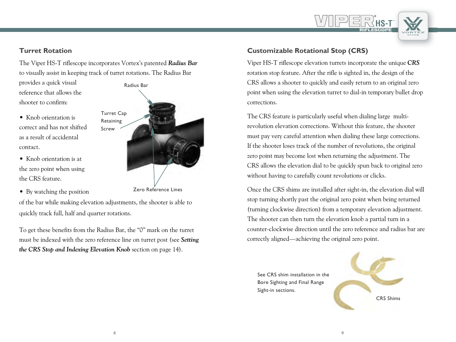#### **Turret Rotation**

The Viper HS-T riflescope incorporates Vortex's patented *Radius Bar* to visually assist in keeping track of turret rotations. The Radius Bar

provides a quick visual reference that allows the shooter to confirm:

- Knob orientation is correct and has not shifted as a result of accidental contact.
- Knob orientation is at the zero point when using the CRS feature.
- By watching the position



Zero Reference Lines

of the bar while making elevation adjustments, the shooter is able to quickly track full, half and quarter rotations.

To get these benefits from the Radius Bar, the "0" mark on the turret must be indexed with the zero reference line on turret post (see *Setting the CRS Stop and Indexing Elevation Knob* section on page 14).

## **Customizable Rotational Stop (CRS)**

Viper HS-T riflescope elevation turrets incorporate the unique *CRS* rotation stop feature. After the rifle is sighted in, the design of the CRS allows a shooter to quickly and easily return to an original zero point when using the elevation turret to dial-in temporary bullet drop corrections.

**HS-T** RIFLESCOPE

The CRS feature is particularly useful when dialing large multirevolution elevation corrections. Without this feature, the shooter must pay very careful attention when dialing these large corrections. If the shooter loses track of the number of revolutions, the original zero point may become lost when returning the adjustment. The CRS allows the elevation dial to be quickly spun back to original zero without having to carefully count revolutions or clicks.

Once the CRS shims are installed after sight-in, the elevation dial will stop turning shortly past the original zero point when being returned (turning clockwise direction) from a temporary elevation adjustment. The shooter can then turn the elevation knob a partial turn in a counter-clockwise direction until the zero reference and radius bar are correctly aligned—achieving the original zero point.

See CRS shim installation in the Bore Sighting and Final Range Sight-in sections.

CRS Shims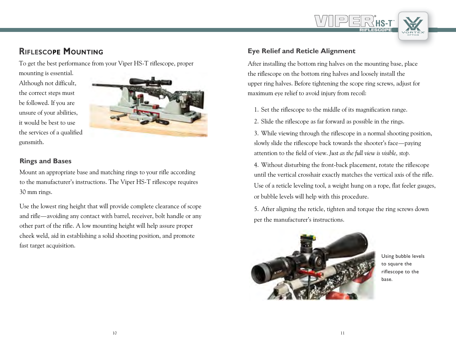# **Riflescope Mounting**

To get the best performance from your Viper HS-T riflescope, proper

mounting is essential. Although not difficult, the correct steps must

be followed. If you are unsure of your abilities, it would be best to use the services of a qualified



## **Rings and Bases**

gunsmith.

Mount an appropriate base and matching rings to your rifle according to the manufacturer's instructions. The Viper HS-T riflescope requires 30 mm rings.

Use the lowest ring height that will provide complete clearance of scope and rifle—avoiding any contact with barrel, receiver, bolt handle or any other part of the rifle. A low mounting height will help assure proper cheek weld, aid in establishing a solid shooting position, and promote fast target acquisition.

## **Eye Relief and Reticle Alignment**

After installing the bottom ring halves on the mounting base, place the riflescope on the bottom ring halves and loosely install the upper ring halves. Before tightening the scope ring screws, adjust for maximum eye relief to avoid injury from recoil:

**HS-T** RIFLESCOPE

- 1. Set the riflescope to the middle of its magnification range.
- 2. Slide the riflescope as far forward as possible in the rings.

3. While viewing through the riflescope in a normal shooting position, slowly slide the riflescope back towards the shooter's face—paying attention to the field of view. *Just as the full view is visible, stop.*

4. Without disturbing the front-back placement, rotate the riflescope until the vertical crosshair exactly matches the vertical axis of the rifle. Use of a reticle leveling tool, a weight hung on a rope, flat feeler gauges, or bubble levels will help with this procedure.

5. After aligning the reticle, tighten and torque the ring screws down per the manufacturer's instructions.



Using bubble levels to square the riflescope to the base.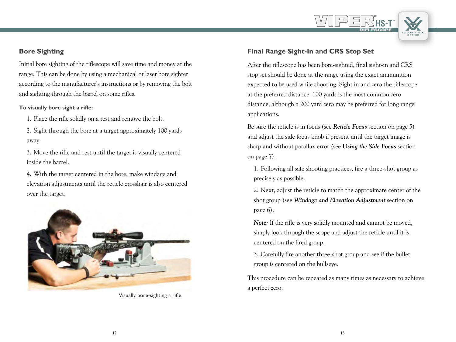## **Bore Sighting**

Initial bore sighting of the riflescope will save time and money at the range. This can be done by using a mechanical or laser bore sighter according to the manufacturer's instructions or by removing the bolt and sighting through the barrel on some rifles.

#### **To visually bore sight a rifle:**

1. Place the rifle solidly on a rest and remove the bolt.

2. Sight through the bore at a target approximately 100 yards away.

3. Move the rifle and rest until the target is visually centered inside the barrel.

4. With the target centered in the bore, make windage and elevation adjustments until the reticle crosshair is also centered over the target.



Visually bore-sighting a rifle.

## **Final Range Sight-In and CRS Stop Set**

After the riflescope has been bore-sighted, final sight-in and CRS stop set should be done at the range using the exact ammunition expected to be used while shooting. Sight in and zero the riflescope at the preferred distance. 100 yards is the most common zero distance, although a 200 yard zero may be preferred for long range applications.

**HS-T** RIFLESCOPE

Be sure the reticle is in focus (see *Reticle Focus* section on page 5) and adjust the side focus knob if present until the target image is sharp and without parallax error (see **U***sing the Side Focus* section on page 7).

1. Following all safe shooting practices, fire a three-shot group as precisely as possible.

2. Next, adjust the reticle to match the approximate center of the shot group (see *Windage and Elevation Adjustment* section on page 6).

*Note:* If the rifle is very solidly mounted and cannot be moved, simply look through the scope and adjust the reticle until it is centered on the fired group.

3. Carefully fire another three-shot group and see if the bullet group is centered on the bullseye.

This procedure can be repeated as many times as necessary to achieve a perfect zero.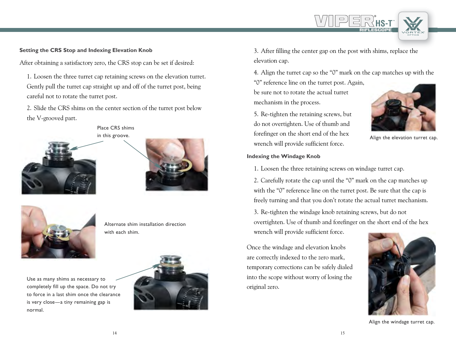#### **Setting the CRS Stop and Indexing Elevation Knob**

After obtaining a satisfactory zero, the CRS stop can be set if desired:

1. Loosen the three turret cap retaining screws on the elevation turret. Gently pull the turret cap straight up and off of the turret post, being careful not to rotate the turret post.

2. Slide the CRS shims on the center section of the turret post below the V-grooved part.

Place CRS shims







Alternate shim installation direction with each shim.

Use as many shims as necessary to completely fill up the space. Do not try to force in a last shim once the clearance is very close—a tiny remaining gap is normal.



3. After filling the center gap on the post with shims, replace the elevation cap.

4. Align the turret cap so the "0" mark on the cap matches up with the "0" reference line on the turret post. Again,

be sure not to rotate the actual turret mechanism in the process.

5. Re-tighten the retaining screws, but do not overtighten. Use of thumb and forefinger on the short end of the hex wrench will provide sufficient force.

#### **Indexing the Windage Knob**



**HS-T** RIFLESCOPE

Align the elevation turret cap.

1. Loosen the three retaining screws on windage turret cap.

2. Carefully rotate the cap until the "0" mark on the cap matches up with the "0" reference line on the turret post. Be sure that the cap is freely turning and that you don't rotate the actual turret mechanism.

3. Re-tighten the windage knob retaining screws, but do not overtighten. Use of thumb and forefinger on the short end of the hex wrench will provide sufficient force.

Once the windage and elevation knobs are correctly indexed to the zero mark, temporary corrections can be safely dialed into the scope without worry of losing the original zero.



Align the windage turret cap.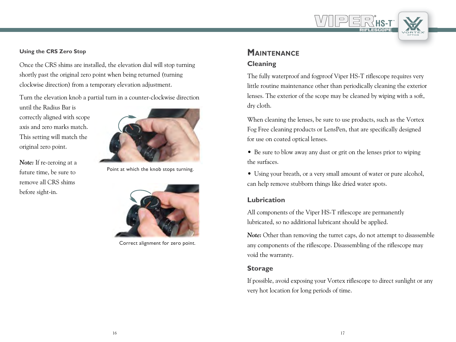#### **Using the CRS Zero Stop**

Once the CRS shims are installed, the elevation dial will stop turning shortly past the original zero point when being returned (turning clockwise direction) from a temporary elevation adjustment.

Turn the elevation knob a partial turn in a counter-clockwise direction

until the Radius Bar is correctly aligned with scope axis and zero marks match. This setting will match the original zero point.

*Note:* If re-zeroing at a future time, be sure to remove all CRS shims before sight-in.



Point at which the knob stops turning.



Correct alignment for zero point.

## **Maintenance Cleaning**

The fully waterproof and fogproof Viper HS-T riflescope requires very little routine maintenance other than periodically cleaning the exterior lenses. The exterior of the scope may be cleaned by wiping with a soft, dry cloth.

**HS-T** RIFLESCOPE

When cleaning the lenses, be sure to use products, such as the Vortex Fog Free cleaning products or LensPen, that are specifically designed for use on coated optical lenses.

• Be sure to blow away any dust or grit on the lenses prior to wiping the surfaces.

• Using your breath, or a very small amount of water or pure alcohol, can help remove stubborn things like dried water spots.

#### **Lubrication**

All components of the Viper HS-T riflescope are permanently lubricated, so no additional lubricant should be applied.

*Note:* Other than removing the turret caps, do not attempt to disassemble any components of the riflescope. Disassembling of the riflescope may void the warranty.

#### **Storage**

If possible, avoid exposing your Vortex riflescope to direct sunlight or any very hot location for long periods of time.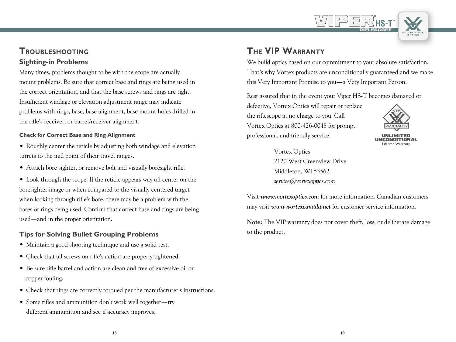

## **Troubleshooting Sighting-in Problems**

Many times, problems thought to be with the scope are actually mount problems. Be sure that correct base and rings are being used in the correct orientation, and that the base screws and rings are tight. Insufficient windage or elevation adjustment range may indicate problems with rings, base, base alignment, base mount holes drilled in the rifle's receiver, or barrel/receiver alignment.

#### **Check for Correct Base and Ring Alignment**

- Roughly center the reticle by adjusting both windage and elevation turrets to the mid point of their travel ranges.
- Attach bore sighter, or remove bolt and visually boresight rifle.
- Look through the scope. If the reticle appears way off center on the boresighter image or when compared to the visually centered target when looking through rifle's bore, there may be a problem with the bases or rings being used. Confirm that correct base and rings are being used—and in the proper orientation.

## **Tips for Solving Bullet Grouping Problems**

- Maintain a good shooting technique and use a solid rest.
- Check that all screws on rifle's action are properly tightened.
- Be sure rifle barrel and action are clean and free of excessive oil or copper fouling.
- Check that rings are correctly torqued per the manufacturer's instructions.
- Some rifles and ammunition don't work well together—try different ammunition and see if accuracy improves.

# **The VIP Warranty**

We build optics based on our commitment to your absolute satisfaction. That's why Vortex products are unconditionally guaranteed and we make this Very Important Promise to you—a Very Important Person.

Rest assured that in the event your Viper HS-T becomes damaged or

defective, Vortex Optics will repair or replace the riflescope at no charge to you. Call Vortex Optics at 800-426-0048 for prompt, professional, and friendly service.



Lifetime Warranty UNLIMITED<br>UNCONDITIONAL

Vortex Optics 2120 West Greenview Drive Middleton, WI 53562 *service@vortexoptics.com*

Visit *www.vortexoptics.com* for more information. Canadian customers may visit *www.vortexcanada.net* for customer service information.

**Note:** The VIP warranty does not cover theft, loss, or deliberate damage to the product.